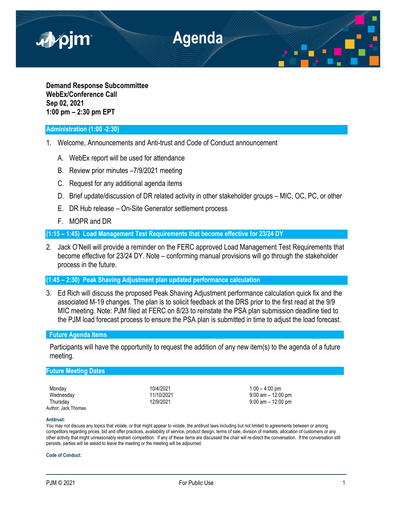

**Demand Response Subcommittee WebEx/Conference Call Sep 02, 2021 1:00 pm – 2:30 pm EPT**

## **Administration (1:00 -2:30)**

- 1. Welcome, Announcements and Anti-trust and Code of Conduct announcement
	- A. WebEx report will be used for attendance
	- B. Review prior minutes –7/9/2021 meeting
	- C. Request for any additional agenda items
	- D. Brief update/discussion of DR related activity in other stakeholder groups MIC, OC, PC, or other
	- E. DR Hub release On-Site Generator settlement process
	- F. MOPR and DR

**(1:15 – 1:45) Load Management Test Requirements that become effective for 23/24 DY**

2. Jack O'Neill will provide a reminder on the FERC approved Load Management Test Requirements that become effective for 23/24 DY. Note – conforming manual provisions will go through the stakeholder process in the future.

**(1:45 – 2:30) Peak Shaving Adjustment plan updated performance calculation**

3. Ed Rich will discuss the proposed Peak Shaving Adjustment performance calculation quick fix and the associated M-19 changes. The plan is to solicit feedback at the DRS prior to the first read at the 9/9 MIC meeting. Note: PJM filed at FERC on 8/23 to reinstate the PSA plan submission deadline tied to the PJM load forecast process to ensure the PSA plan is submitted in time to adjust the load forecast.

# **Future Agenda Items**

Participants will have the opportunity to request the addition of any new item(s) to the agenda of a future meeting.

## **Future Meeting Dates**

| Monday              |  |
|---------------------|--|
| Wednesday           |  |
| Thursday            |  |
| Author: Jack Thomas |  |

10/4/2021 100 – 4:00 pm<br>11/10/2021 10:00 9:00 am – 12:00 Wednesday 11/10/2021 9:00 am – 12:00 pm  $9:00$  am – 12:00 pm

#### **Antitrust:**

You may not discuss any topics that violate, or that might appear to violate, the antitrust laws including but not limited to agreements between or among competitors regarding prices, bid and offer practices, availability of service, product design, terms of sale, division of markets, allocation of customers or any other activity that might unreasonably restrain competition. If any of these items are discussed the chair will re-direct the conversation. If the conversation still persists, parties will be asked to leave the meeting or the meeting will be adjourned.

## **Code of Conduct:**